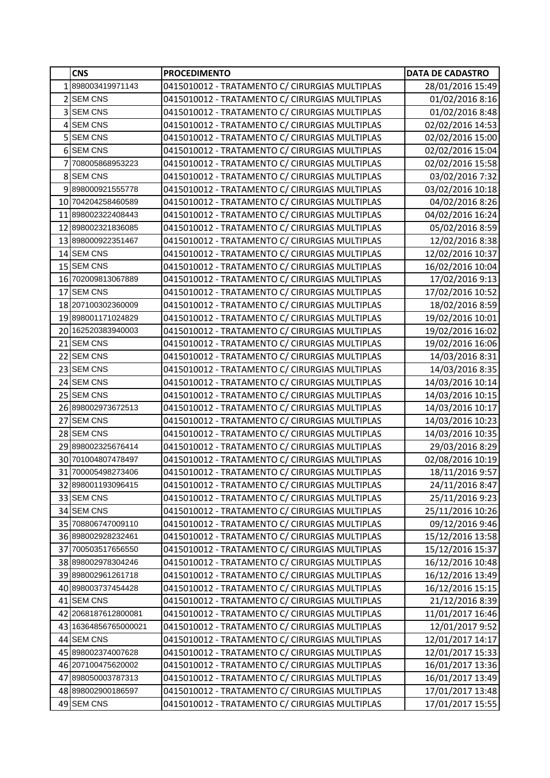|                | <b>CNS</b>           | <b>PROCEDIMENTO</b>                            | <b>DATA DE CADASTRO</b> |
|----------------|----------------------|------------------------------------------------|-------------------------|
|                | 1898003419971143     | 0415010012 - TRATAMENTO C/ CIRURGIAS MULTIPLAS | 28/01/2016 15:49        |
|                | 2 SEM CNS            | 0415010012 - TRATAMENTO C/ CIRURGIAS MULTIPLAS | 01/02/2016 8:16         |
|                | 3 SEM CNS            | 0415010012 - TRATAMENTO C/ CIRURGIAS MULTIPLAS | 01/02/2016 8:48         |
|                | 4 SEM CNS            | 0415010012 - TRATAMENTO C/ CIRURGIAS MULTIPLAS | 02/02/2016 14:53        |
|                | 5 SEM CNS            | 0415010012 - TRATAMENTO C/ CIRURGIAS MULTIPLAS | 02/02/2016 15:00        |
|                | 6 SEM CNS            | 0415010012 - TRATAMENTO C/ CIRURGIAS MULTIPLAS | 02/02/2016 15:04        |
| $\overline{7}$ | 708005868953223      | 0415010012 - TRATAMENTO C/ CIRURGIAS MULTIPLAS | 02/02/2016 15:58        |
|                | 8 SEM CNS            | 0415010012 - TRATAMENTO C/ CIRURGIAS MULTIPLAS | 03/02/2016 7:32         |
|                | 9898000921555778     | 0415010012 - TRATAMENTO C/ CIRURGIAS MULTIPLAS | 03/02/2016 10:18        |
|                | 10 704204258460589   | 0415010012 - TRATAMENTO C/ CIRURGIAS MULTIPLAS | 04/02/2016 8:26         |
|                | 11 898002322408443   | 0415010012 - TRATAMENTO C/ CIRURGIAS MULTIPLAS | 04/02/2016 16:24        |
|                | 12 898002321836085   | 0415010012 - TRATAMENTO C/ CIRURGIAS MULTIPLAS | 05/02/2016 8:59         |
|                | 13 898000922351467   | 0415010012 - TRATAMENTO C/ CIRURGIAS MULTIPLAS | 12/02/2016 8:38         |
|                | 14 SEM CNS           | 0415010012 - TRATAMENTO C/ CIRURGIAS MULTIPLAS | 12/02/2016 10:37        |
|                | 15 SEM CNS           | 0415010012 - TRATAMENTO C/ CIRURGIAS MULTIPLAS | 16/02/2016 10:04        |
|                | 16 702009813067889   | 0415010012 - TRATAMENTO C/ CIRURGIAS MULTIPLAS | 17/02/2016 9:13         |
|                | 17 SEM CNS           | 0415010012 - TRATAMENTO C/ CIRURGIAS MULTIPLAS | 17/02/2016 10:52        |
|                | 18 207100302360009   | 0415010012 - TRATAMENTO C/ CIRURGIAS MULTIPLAS | 18/02/2016 8:59         |
|                | 19898001171024829    | 0415010012 - TRATAMENTO C/ CIRURGIAS MULTIPLAS | 19/02/2016 10:01        |
|                | 20 162520383940003   | 0415010012 - TRATAMENTO C/ CIRURGIAS MULTIPLAS | 19/02/2016 16:02        |
|                | 21 SEM CNS           | 0415010012 - TRATAMENTO C/ CIRURGIAS MULTIPLAS | 19/02/2016 16:06        |
|                | 22 SEM CNS           | 0415010012 - TRATAMENTO C/ CIRURGIAS MULTIPLAS | 14/03/2016 8:31         |
|                | 23 SEM CNS           | 0415010012 - TRATAMENTO C/ CIRURGIAS MULTIPLAS | 14/03/2016 8:35         |
|                | 24 SEM CNS           | 0415010012 - TRATAMENTO C/ CIRURGIAS MULTIPLAS | 14/03/2016 10:14        |
|                | 25 SEM CNS           | 0415010012 - TRATAMENTO C/ CIRURGIAS MULTIPLAS | 14/03/2016 10:15        |
|                | 26 898002973672513   | 0415010012 - TRATAMENTO C/ CIRURGIAS MULTIPLAS | 14/03/2016 10:17        |
|                | 27 SEM CNS           | 0415010012 - TRATAMENTO C/ CIRURGIAS MULTIPLAS | 14/03/2016 10:23        |
|                | 28 SEM CNS           | 0415010012 - TRATAMENTO C/ CIRURGIAS MULTIPLAS | 14/03/2016 10:35        |
|                | 29 898002325676414   | 0415010012 - TRATAMENTO C/ CIRURGIAS MULTIPLAS | 29/03/2016 8:29         |
|                | 30 701004807478497   | 0415010012 - TRATAMENTO C/ CIRURGIAS MULTIPLAS | 02/08/2016 10:19        |
|                | 31 700005498273406   | 0415010012 - TRATAMENTO C/ CIRURGIAS MULTIPLAS | 18/11/2016 9:57         |
|                | 32 898001193096415   | 0415010012 - TRATAMENTO C/ CIRURGIAS MULTIPLAS | 24/11/2016 8:47         |
|                | 33 SEM CNS           | 0415010012 - TRATAMENTO C/ CIRURGIAS MULTIPLAS | 25/11/2016 9:23         |
|                | 34 SEM CNS           | 0415010012 - TRATAMENTO C/ CIRURGIAS MULTIPLAS | 25/11/2016 10:26        |
|                | 35 708806747009110   | 0415010012 - TRATAMENTO C/ CIRURGIAS MULTIPLAS | 09/12/2016 9:46         |
|                | 36 898002928232461   | 0415010012 - TRATAMENTO C/ CIRURGIAS MULTIPLAS | 15/12/2016 13:58        |
|                | 37 700503517656550   | 0415010012 - TRATAMENTO C/ CIRURGIAS MULTIPLAS | 15/12/2016 15:37        |
|                | 38 898002978304246   | 0415010012 - TRATAMENTO C/ CIRURGIAS MULTIPLAS | 16/12/2016 10:48        |
|                | 39 898002961261718   | 0415010012 - TRATAMENTO C/ CIRURGIAS MULTIPLAS | 16/12/2016 13:49        |
|                | 40 898003737454428   | 0415010012 - TRATAMENTO C/ CIRURGIAS MULTIPLAS | 16/12/2016 15:15        |
|                | 41 SEM CNS           | 0415010012 - TRATAMENTO C/ CIRURGIAS MULTIPLAS | 21/12/2016 8:39         |
|                | 42 2068187612800081  | 0415010012 - TRATAMENTO C/ CIRURGIAS MULTIPLAS | 11/01/2017 16:46        |
|                | 43 16364856765000021 | 0415010012 - TRATAMENTO C/ CIRURGIAS MULTIPLAS | 12/01/2017 9:52         |
|                | 44 SEM CNS           | 0415010012 - TRATAMENTO C/ CIRURGIAS MULTIPLAS | 12/01/2017 14:17        |
|                | 45 898002374007628   | 0415010012 - TRATAMENTO C/ CIRURGIAS MULTIPLAS | 12/01/2017 15:33        |
|                | 46 207100475620002   | 0415010012 - TRATAMENTO C/ CIRURGIAS MULTIPLAS | 16/01/2017 13:36        |
|                | 47 898050003787313   | 0415010012 - TRATAMENTO C/ CIRURGIAS MULTIPLAS | 16/01/2017 13:49        |
|                | 48 898002900186597   | 0415010012 - TRATAMENTO C/ CIRURGIAS MULTIPLAS | 17/01/2017 13:48        |
|                | 49 SEM CNS           | 0415010012 - TRATAMENTO C/ CIRURGIAS MULTIPLAS | 17/01/2017 15:55        |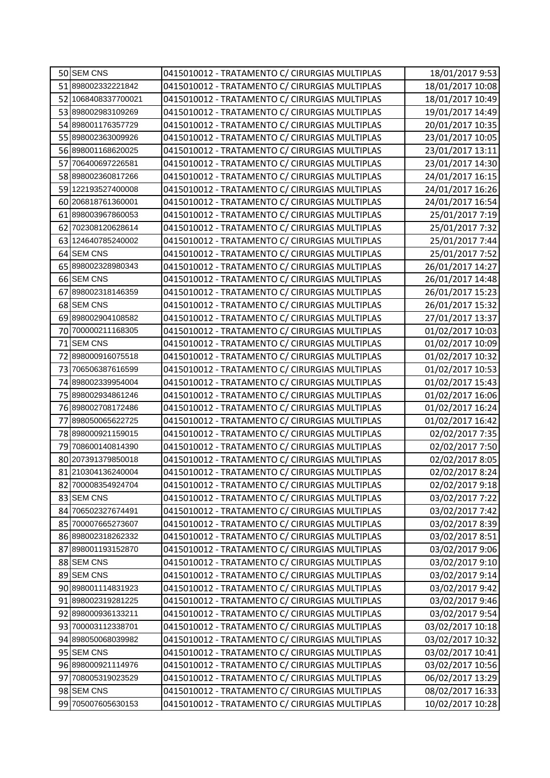| 50 SEM CNS          | 0415010012 - TRATAMENTO C/ CIRURGIAS MULTIPLAS | 18/01/2017 9:53  |
|---------------------|------------------------------------------------|------------------|
| 51 898002332221842  | 0415010012 - TRATAMENTO C/ CIRURGIAS MULTIPLAS | 18/01/2017 10:08 |
| 52 1068408337700021 | 0415010012 - TRATAMENTO C/ CIRURGIAS MULTIPLAS | 18/01/2017 10:49 |
| 53 898002983109269  | 0415010012 - TRATAMENTO C/ CIRURGIAS MULTIPLAS | 19/01/2017 14:49 |
| 54 898001176357729  | 0415010012 - TRATAMENTO C/ CIRURGIAS MULTIPLAS | 20/01/2017 10:35 |
| 55 898002363009926  | 0415010012 - TRATAMENTO C/ CIRURGIAS MULTIPLAS | 23/01/2017 10:05 |
| 56 898001168620025  | 0415010012 - TRATAMENTO C/ CIRURGIAS MULTIPLAS | 23/01/2017 13:11 |
| 57 706400697226581  | 0415010012 - TRATAMENTO C/ CIRURGIAS MULTIPLAS | 23/01/2017 14:30 |
| 58 898002360817266  | 0415010012 - TRATAMENTO C/ CIRURGIAS MULTIPLAS | 24/01/2017 16:15 |
| 59 122193527400008  | 0415010012 - TRATAMENTO C/ CIRURGIAS MULTIPLAS | 24/01/2017 16:26 |
| 60 206818761360001  | 0415010012 - TRATAMENTO C/ CIRURGIAS MULTIPLAS | 24/01/2017 16:54 |
| 61 898003967860053  | 0415010012 - TRATAMENTO C/ CIRURGIAS MULTIPLAS | 25/01/2017 7:19  |
| 62 702308120628614  | 0415010012 - TRATAMENTO C/ CIRURGIAS MULTIPLAS | 25/01/2017 7:32  |
| 63 124640785240002  | 0415010012 - TRATAMENTO C/ CIRURGIAS MULTIPLAS | 25/01/2017 7:44  |
| 64 SEM CNS          | 0415010012 - TRATAMENTO C/ CIRURGIAS MULTIPLAS | 25/01/2017 7:52  |
| 65 898002328980343  | 0415010012 - TRATAMENTO C/ CIRURGIAS MULTIPLAS | 26/01/2017 14:27 |
| 66 SEM CNS          | 0415010012 - TRATAMENTO C/ CIRURGIAS MULTIPLAS | 26/01/2017 14:48 |
| 67 898002318146359  | 0415010012 - TRATAMENTO C/ CIRURGIAS MULTIPLAS | 26/01/2017 15:23 |
| 68 SEM CNS          | 0415010012 - TRATAMENTO C/ CIRURGIAS MULTIPLAS | 26/01/2017 15:32 |
| 69 898002904108582  | 0415010012 - TRATAMENTO C/ CIRURGIAS MULTIPLAS | 27/01/2017 13:37 |
| 70 700000211168305  | 0415010012 - TRATAMENTO C/ CIRURGIAS MULTIPLAS | 01/02/2017 10:03 |
| 71 SEM CNS          | 0415010012 - TRATAMENTO C/ CIRURGIAS MULTIPLAS | 01/02/2017 10:09 |
| 72 898000916075518  | 0415010012 - TRATAMENTO C/ CIRURGIAS MULTIPLAS | 01/02/2017 10:32 |
| 73 706506387616599  | 0415010012 - TRATAMENTO C/ CIRURGIAS MULTIPLAS | 01/02/2017 10:53 |
| 74 898002339954004  | 0415010012 - TRATAMENTO C/ CIRURGIAS MULTIPLAS | 01/02/2017 15:43 |
| 75 898002934861246  | 0415010012 - TRATAMENTO C/ CIRURGIAS MULTIPLAS | 01/02/2017 16:06 |
| 76 898002708172486  | 0415010012 - TRATAMENTO C/ CIRURGIAS MULTIPLAS | 01/02/2017 16:24 |
| 77 898050065622725  | 0415010012 - TRATAMENTO C/ CIRURGIAS MULTIPLAS | 01/02/2017 16:42 |
| 78 898000921159015  | 0415010012 - TRATAMENTO C/ CIRURGIAS MULTIPLAS | 02/02/2017 7:35  |
| 79 708600140814390  | 0415010012 - TRATAMENTO C/ CIRURGIAS MULTIPLAS | 02/02/2017 7:50  |
| 80 207391379850018  | 0415010012 - TRATAMENTO C/ CIRURGIAS MULTIPLAS | 02/02/2017 8:05  |
| 81 210304136240004  | 0415010012 - TRATAMENTO C/ CIRURGIAS MULTIPLAS | 02/02/2017 8:24  |
| 82 700008354924704  | 0415010012 - TRATAMENTO C/ CIRURGIAS MULTIPLAS | 02/02/2017 9:18  |
| 83 SEM CNS          | 0415010012 - TRATAMENTO C/ CIRURGIAS MULTIPLAS | 03/02/2017 7:22  |
| 84 706502327674491  | 0415010012 - TRATAMENTO C/ CIRURGIAS MULTIPLAS | 03/02/2017 7:42  |
| 85 700007665273607  | 0415010012 - TRATAMENTO C/ CIRURGIAS MULTIPLAS | 03/02/2017 8:39  |
| 86 898002318262332  | 0415010012 - TRATAMENTO C/ CIRURGIAS MULTIPLAS | 03/02/2017 8:51  |
| 87 898001193152870  | 0415010012 - TRATAMENTO C/ CIRURGIAS MULTIPLAS | 03/02/2017 9:06  |
| 88 SEM CNS          | 0415010012 - TRATAMENTO C/ CIRURGIAS MULTIPLAS | 03/02/2017 9:10  |
| 89 SEM CNS          | 0415010012 - TRATAMENTO C/ CIRURGIAS MULTIPLAS | 03/02/2017 9:14  |
| 90 898001114831923  | 0415010012 - TRATAMENTO C/ CIRURGIAS MULTIPLAS | 03/02/2017 9:42  |
| 91 898002319281225  | 0415010012 - TRATAMENTO C/ CIRURGIAS MULTIPLAS | 03/02/2017 9:46  |
| 92 898000936133211  | 0415010012 - TRATAMENTO C/ CIRURGIAS MULTIPLAS | 03/02/2017 9:54  |
| 93 700003112338701  | 0415010012 - TRATAMENTO C/ CIRURGIAS MULTIPLAS | 03/02/2017 10:18 |
| 94 898050068039982  | 0415010012 - TRATAMENTO C/ CIRURGIAS MULTIPLAS | 03/02/2017 10:32 |
| 95 SEM CNS          | 0415010012 - TRATAMENTO C/ CIRURGIAS MULTIPLAS | 03/02/2017 10:41 |
| 96 898000921114976  | 0415010012 - TRATAMENTO C/ CIRURGIAS MULTIPLAS | 03/02/2017 10:56 |
| 97 708005319023529  | 0415010012 - TRATAMENTO C/ CIRURGIAS MULTIPLAS | 06/02/2017 13:29 |
| 98 SEM CNS          | 0415010012 - TRATAMENTO C/ CIRURGIAS MULTIPLAS | 08/02/2017 16:33 |
| 99 705007605630153  | 0415010012 - TRATAMENTO C/ CIRURGIAS MULTIPLAS | 10/02/2017 10:28 |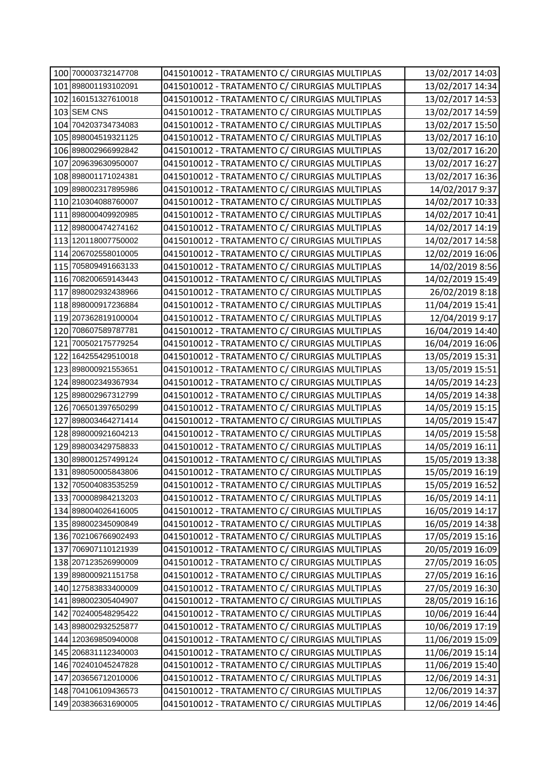| 100 700003732147708 | 0415010012 - TRATAMENTO C/ CIRURGIAS MULTIPLAS | 13/02/2017 14:03 |
|---------------------|------------------------------------------------|------------------|
| 101 898001193102091 | 0415010012 - TRATAMENTO C/ CIRURGIAS MULTIPLAS | 13/02/2017 14:34 |
| 102 160151327610018 | 0415010012 - TRATAMENTO C/ CIRURGIAS MULTIPLAS | 13/02/2017 14:53 |
| 103 SEM CNS         | 0415010012 - TRATAMENTO C/ CIRURGIAS MULTIPLAS | 13/02/2017 14:59 |
| 104 704203734734083 | 0415010012 - TRATAMENTO C/ CIRURGIAS MULTIPLAS | 13/02/2017 15:50 |
| 105 898004519321125 | 0415010012 - TRATAMENTO C/ CIRURGIAS MULTIPLAS | 13/02/2017 16:10 |
| 106 898002966992842 | 0415010012 - TRATAMENTO C/ CIRURGIAS MULTIPLAS | 13/02/2017 16:20 |
| 107 209639630950007 | 0415010012 - TRATAMENTO C/ CIRURGIAS MULTIPLAS | 13/02/2017 16:27 |
| 108 898001171024381 | 0415010012 - TRATAMENTO C/ CIRURGIAS MULTIPLAS | 13/02/2017 16:36 |
| 109 898002317895986 | 0415010012 - TRATAMENTO C/ CIRURGIAS MULTIPLAS | 14/02/2017 9:37  |
| 110 210304088760007 | 0415010012 - TRATAMENTO C/ CIRURGIAS MULTIPLAS | 14/02/2017 10:33 |
| 111 898000409920985 | 0415010012 - TRATAMENTO C/ CIRURGIAS MULTIPLAS | 14/02/2017 10:41 |
| 112 898000474274162 | 0415010012 - TRATAMENTO C/ CIRURGIAS MULTIPLAS | 14/02/2017 14:19 |
| 113 120118007750002 | 0415010012 - TRATAMENTO C/ CIRURGIAS MULTIPLAS | 14/02/2017 14:58 |
| 114 206702558010005 | 0415010012 - TRATAMENTO C/ CIRURGIAS MULTIPLAS | 12/02/2019 16:06 |
| 115 705809491663133 | 0415010012 - TRATAMENTO C/ CIRURGIAS MULTIPLAS | 14/02/2019 8:56  |
| 116 708200659143443 | 0415010012 - TRATAMENTO C/ CIRURGIAS MULTIPLAS | 14/02/2019 15:49 |
| 117 898002932438966 | 0415010012 - TRATAMENTO C/ CIRURGIAS MULTIPLAS | 26/02/2019 8:18  |
| 118 898000917236884 | 0415010012 - TRATAMENTO C/ CIRURGIAS MULTIPLAS | 11/04/2019 15:41 |
| 119 207362819100004 | 0415010012 - TRATAMENTO C/ CIRURGIAS MULTIPLAS | 12/04/2019 9:17  |
| 120 708607589787781 | 0415010012 - TRATAMENTO C/ CIRURGIAS MULTIPLAS | 16/04/2019 14:40 |
| 121 700502175779254 | 0415010012 - TRATAMENTO C/ CIRURGIAS MULTIPLAS | 16/04/2019 16:06 |
| 122 164255429510018 | 0415010012 - TRATAMENTO C/ CIRURGIAS MULTIPLAS | 13/05/2019 15:31 |
| 123 898000921553651 | 0415010012 - TRATAMENTO C/ CIRURGIAS MULTIPLAS | 13/05/2019 15:51 |
| 124 898002349367934 | 0415010012 - TRATAMENTO C/ CIRURGIAS MULTIPLAS | 14/05/2019 14:23 |
| 125 898002967312799 | 0415010012 - TRATAMENTO C/ CIRURGIAS MULTIPLAS | 14/05/2019 14:38 |
| 126 706501397650299 | 0415010012 - TRATAMENTO C/ CIRURGIAS MULTIPLAS | 14/05/2019 15:15 |
| 127 898003464271414 | 0415010012 - TRATAMENTO C/ CIRURGIAS MULTIPLAS | 14/05/2019 15:47 |
| 128 898000921604213 | 0415010012 - TRATAMENTO C/ CIRURGIAS MULTIPLAS | 14/05/2019 15:58 |
| 129 898003429758833 | 0415010012 - TRATAMENTO C/ CIRURGIAS MULTIPLAS | 14/05/2019 16:11 |
| 130 898001257499124 | 0415010012 - TRATAMENTO C/ CIRURGIAS MULTIPLAS | 15/05/2019 13:38 |
| 131 898050005843806 | 0415010012 - TRATAMENTO C/ CIRURGIAS MULTIPLAS | 15/05/2019 16:19 |
| 132 705004083535259 | 0415010012 - TRATAMENTO C/ CIRURGIAS MULTIPLAS | 15/05/2019 16:52 |
| 133 700008984213203 | 0415010012 - TRATAMENTO C/ CIRURGIAS MULTIPLAS | 16/05/2019 14:11 |
| 134 898004026416005 | 0415010012 - TRATAMENTO C/ CIRURGIAS MULTIPLAS | 16/05/2019 14:17 |
| 135 898002345090849 | 0415010012 - TRATAMENTO C/ CIRURGIAS MULTIPLAS | 16/05/2019 14:38 |
| 136 702106766902493 | 0415010012 - TRATAMENTO C/ CIRURGIAS MULTIPLAS | 17/05/2019 15:16 |
| 137 706907110121939 | 0415010012 - TRATAMENTO C/ CIRURGIAS MULTIPLAS | 20/05/2019 16:09 |
| 138 207123526990009 | 0415010012 - TRATAMENTO C/ CIRURGIAS MULTIPLAS | 27/05/2019 16:05 |
| 139 898000921151758 | 0415010012 - TRATAMENTO C/ CIRURGIAS MULTIPLAS | 27/05/2019 16:16 |
| 140 127583833400009 | 0415010012 - TRATAMENTO C/ CIRURGIAS MULTIPLAS | 27/05/2019 16:30 |
| 141 898002305404907 | 0415010012 - TRATAMENTO C/ CIRURGIAS MULTIPLAS | 28/05/2019 16:16 |
| 142 702400548295422 | 0415010012 - TRATAMENTO C/ CIRURGIAS MULTIPLAS | 10/06/2019 16:44 |
| 143 898002932525877 | 0415010012 - TRATAMENTO C/ CIRURGIAS MULTIPLAS | 10/06/2019 17:19 |
| 144 120369850940008 | 0415010012 - TRATAMENTO C/ CIRURGIAS MULTIPLAS | 11/06/2019 15:09 |
| 145 206831112340003 | 0415010012 - TRATAMENTO C/ CIRURGIAS MULTIPLAS | 11/06/2019 15:14 |
| 146 702401045247828 | 0415010012 - TRATAMENTO C/ CIRURGIAS MULTIPLAS | 11/06/2019 15:40 |
| 147 203656712010006 | 0415010012 - TRATAMENTO C/ CIRURGIAS MULTIPLAS | 12/06/2019 14:31 |
| 148 704106109436573 | 0415010012 - TRATAMENTO C/ CIRURGIAS MULTIPLAS | 12/06/2019 14:37 |
| 149 203836631690005 | 0415010012 - TRATAMENTO C/ CIRURGIAS MULTIPLAS | 12/06/2019 14:46 |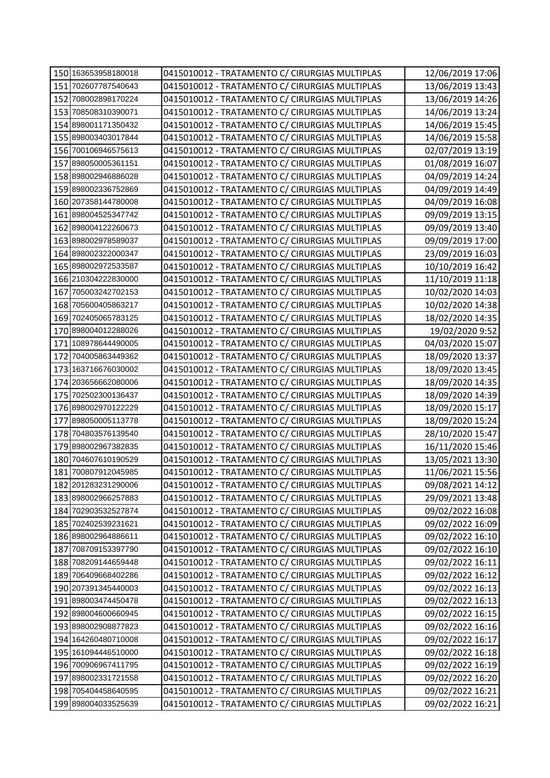| 150 163653958180018 | 0415010012 - TRATAMENTO C/ CIRURGIAS MULTIPLAS | 12/06/2019 17:06 |
|---------------------|------------------------------------------------|------------------|
| 151 702607787540643 | 0415010012 - TRATAMENTO C/ CIRURGIAS MULTIPLAS | 13/06/2019 13:43 |
| 152 708002898170224 | 0415010012 - TRATAMENTO C/ CIRURGIAS MULTIPLAS | 13/06/2019 14:26 |
| 153 708508310390071 | 0415010012 - TRATAMENTO C/ CIRURGIAS MULTIPLAS | 14/06/2019 13:24 |
| 154 898001171350432 | 0415010012 - TRATAMENTO C/ CIRURGIAS MULTIPLAS | 14/06/2019 15:45 |
| 155 898003403017844 | 0415010012 - TRATAMENTO C/ CIRURGIAS MULTIPLAS | 14/06/2019 15:58 |
| 156 700106946575613 | 0415010012 - TRATAMENTO C/ CIRURGIAS MULTIPLAS | 02/07/2019 13:19 |
| 157 898050005361151 | 0415010012 - TRATAMENTO C/ CIRURGIAS MULTIPLAS | 01/08/2019 16:07 |
| 158 898002946886028 | 0415010012 - TRATAMENTO C/ CIRURGIAS MULTIPLAS | 04/09/2019 14:24 |
| 159 898002336752869 | 0415010012 - TRATAMENTO C/ CIRURGIAS MULTIPLAS | 04/09/2019 14:49 |
| 160 207358144780008 | 0415010012 - TRATAMENTO C/ CIRURGIAS MULTIPLAS | 04/09/2019 16:08 |
| 161 898004525347742 | 0415010012 - TRATAMENTO C/ CIRURGIAS MULTIPLAS | 09/09/2019 13:15 |
| 162 898004122260673 | 0415010012 - TRATAMENTO C/ CIRURGIAS MULTIPLAS | 09/09/2019 13:40 |
| 163 898002978589037 | 0415010012 - TRATAMENTO C/ CIRURGIAS MULTIPLAS | 09/09/2019 17:00 |
| 164 898002322000347 | 0415010012 - TRATAMENTO C/ CIRURGIAS MULTIPLAS | 23/09/2019 16:03 |
| 165 898002972533587 | 0415010012 - TRATAMENTO C/ CIRURGIAS MULTIPLAS | 10/10/2019 16:42 |
| 166 210304222830000 | 0415010012 - TRATAMENTO C/ CIRURGIAS MULTIPLAS | 11/10/2019 11:18 |
| 167 705003242702153 | 0415010012 - TRATAMENTO C/ CIRURGIAS MULTIPLAS | 10/02/2020 14:03 |
| 168 705600405863217 | 0415010012 - TRATAMENTO C/ CIRURGIAS MULTIPLAS | 10/02/2020 14:38 |
| 169 702405065783125 | 0415010012 - TRATAMENTO C/ CIRURGIAS MULTIPLAS | 18/02/2020 14:35 |
| 170 898004012288026 | 0415010012 - TRATAMENTO C/ CIRURGIAS MULTIPLAS | 19/02/2020 9:52  |
| 171 108978644490005 | 0415010012 - TRATAMENTO C/ CIRURGIAS MULTIPLAS | 04/03/2020 15:07 |
| 172 704005863449362 | 0415010012 - TRATAMENTO C/ CIRURGIAS MULTIPLAS | 18/09/2020 13:37 |
| 173 163716676030002 | 0415010012 - TRATAMENTO C/ CIRURGIAS MULTIPLAS | 18/09/2020 13:45 |
| 174 203656662080006 | 0415010012 - TRATAMENTO C/ CIRURGIAS MULTIPLAS | 18/09/2020 14:35 |
| 175 702502300136437 | 0415010012 - TRATAMENTO C/ CIRURGIAS MULTIPLAS | 18/09/2020 14:39 |
| 176 898002970122229 | 0415010012 - TRATAMENTO C/ CIRURGIAS MULTIPLAS | 18/09/2020 15:17 |
| 177 898050005113778 | 0415010012 - TRATAMENTO C/ CIRURGIAS MULTIPLAS | 18/09/2020 15:24 |
| 178 704803576139540 | 0415010012 - TRATAMENTO C/ CIRURGIAS MULTIPLAS | 28/10/2020 15:47 |
| 179 898002967382835 | 0415010012 - TRATAMENTO C/ CIRURGIAS MULTIPLAS | 16/11/2020 15:46 |
| 180 704607610190529 | 0415010012 - TRATAMENTO C/ CIRURGIAS MULTIPLAS | 13/05/2021 13:30 |
| 181 700807912045985 | 0415010012 - TRATAMENTO C/ CIRURGIAS MULTIPLAS | 11/06/2021 15:56 |
| 182 201283231290006 | 0415010012 - TRATAMENTO C/ CIRURGIAS MULTIPLAS | 09/08/2021 14:12 |
| 183 898002966257883 | 0415010012 - TRATAMENTO C/ CIRURGIAS MULTIPLAS | 29/09/2021 13:48 |
| 184 702903532527874 | 0415010012 - TRATAMENTO C/ CIRURGIAS MULTIPLAS | 09/02/2022 16:08 |
| 185 702402539231621 | 0415010012 - TRATAMENTO C/ CIRURGIAS MULTIPLAS | 09/02/2022 16:09 |
| 186 898002964886611 | 0415010012 - TRATAMENTO C/ CIRURGIAS MULTIPLAS | 09/02/2022 16:10 |
| 187 708709153397790 | 0415010012 - TRATAMENTO C/ CIRURGIAS MULTIPLAS | 09/02/2022 16:10 |
| 188 708209144659448 | 0415010012 - TRATAMENTO C/ CIRURGIAS MULTIPLAS | 09/02/2022 16:11 |
| 189 706409668402286 | 0415010012 - TRATAMENTO C/ CIRURGIAS MULTIPLAS | 09/02/2022 16:12 |
| 190 207391345440003 | 0415010012 - TRATAMENTO C/ CIRURGIAS MULTIPLAS | 09/02/2022 16:13 |
| 191 898003474450478 | 0415010012 - TRATAMENTO C/ CIRURGIAS MULTIPLAS | 09/02/2022 16:13 |
| 192 898004600660945 | 0415010012 - TRATAMENTO C/ CIRURGIAS MULTIPLAS | 09/02/2022 16:15 |
| 193 898002908877823 | 0415010012 - TRATAMENTO C/ CIRURGIAS MULTIPLAS | 09/02/2022 16:16 |
| 194 164260480710008 | 0415010012 - TRATAMENTO C/ CIRURGIAS MULTIPLAS | 09/02/2022 16:17 |
| 195 161094446510000 | 0415010012 - TRATAMENTO C/ CIRURGIAS MULTIPLAS | 09/02/2022 16:18 |
| 196 700906967411795 | 0415010012 - TRATAMENTO C/ CIRURGIAS MULTIPLAS | 09/02/2022 16:19 |
| 197 898002331721558 | 0415010012 - TRATAMENTO C/ CIRURGIAS MULTIPLAS | 09/02/2022 16:20 |
| 198 705404458640595 | 0415010012 - TRATAMENTO C/ CIRURGIAS MULTIPLAS | 09/02/2022 16:21 |
| 199 898004033525639 | 0415010012 - TRATAMENTO C/ CIRURGIAS MULTIPLAS | 09/02/2022 16:21 |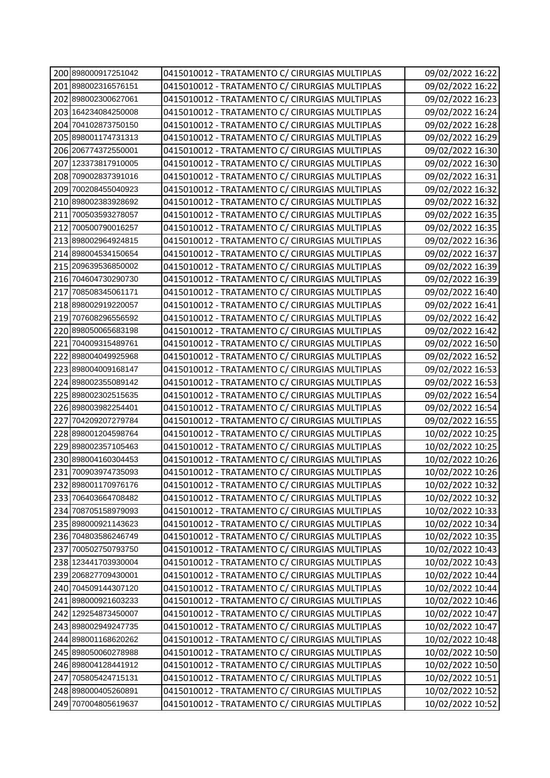| 200 898000917251042    | 0415010012 - TRATAMENTO C/ CIRURGIAS MULTIPLAS | 09/02/2022 16:22 |
|------------------------|------------------------------------------------|------------------|
| 201 898002316576151    | 0415010012 - TRATAMENTO C/ CIRURGIAS MULTIPLAS | 09/02/2022 16:22 |
| 202 898002300627061    | 0415010012 - TRATAMENTO C/ CIRURGIAS MULTIPLAS | 09/02/2022 16:23 |
| 203 164234084250008    | 0415010012 - TRATAMENTO C/ CIRURGIAS MULTIPLAS | 09/02/2022 16:24 |
| 204 704102873750150    | 0415010012 - TRATAMENTO C/ CIRURGIAS MULTIPLAS | 09/02/2022 16:28 |
| 205 898001174731313    | 0415010012 - TRATAMENTO C/ CIRURGIAS MULTIPLAS | 09/02/2022 16:29 |
| 206 206774372550001    | 0415010012 - TRATAMENTO C/ CIRURGIAS MULTIPLAS | 09/02/2022 16:30 |
| 207 123373817910005    | 0415010012 - TRATAMENTO C/ CIRURGIAS MULTIPLAS | 09/02/2022 16:30 |
| 208 709002837391016    | 0415010012 - TRATAMENTO C/ CIRURGIAS MULTIPLAS | 09/02/2022 16:31 |
| 209 700208455040923    | 0415010012 - TRATAMENTO C/ CIRURGIAS MULTIPLAS | 09/02/2022 16:32 |
| 210 898002383928692    | 0415010012 - TRATAMENTO C/ CIRURGIAS MULTIPLAS | 09/02/2022 16:32 |
| 211 700503593278057    | 0415010012 - TRATAMENTO C/ CIRURGIAS MULTIPLAS | 09/02/2022 16:35 |
| 212 700500790016257    | 0415010012 - TRATAMENTO C/ CIRURGIAS MULTIPLAS | 09/02/2022 16:35 |
| 213 898002964924815    | 0415010012 - TRATAMENTO C/ CIRURGIAS MULTIPLAS | 09/02/2022 16:36 |
| 214 898004534150654    | 0415010012 - TRATAMENTO C/ CIRURGIAS MULTIPLAS | 09/02/2022 16:37 |
| 215 209639536850002    | 0415010012 - TRATAMENTO C/ CIRURGIAS MULTIPLAS | 09/02/2022 16:39 |
| 216 704604730290730    | 0415010012 - TRATAMENTO C/ CIRURGIAS MULTIPLAS | 09/02/2022 16:39 |
| 217 708508345061171    | 0415010012 - TRATAMENTO C/ CIRURGIAS MULTIPLAS | 09/02/2022 16:40 |
| 218 898002919220057    | 0415010012 - TRATAMENTO C/ CIRURGIAS MULTIPLAS | 09/02/2022 16:41 |
| 219 707608296556592    | 0415010012 - TRATAMENTO C/ CIRURGIAS MULTIPLAS | 09/02/2022 16:42 |
| 220 898050065683198    | 0415010012 - TRATAMENTO C/ CIRURGIAS MULTIPLAS | 09/02/2022 16:42 |
| 221 704009315489761    | 0415010012 - TRATAMENTO C/ CIRURGIAS MULTIPLAS | 09/02/2022 16:50 |
| 222 898004049925968    | 0415010012 - TRATAMENTO C/ CIRURGIAS MULTIPLAS | 09/02/2022 16:52 |
| 223 898004009168147    | 0415010012 - TRATAMENTO C/ CIRURGIAS MULTIPLAS | 09/02/2022 16:53 |
| 224 898002355089142    | 0415010012 - TRATAMENTO C/ CIRURGIAS MULTIPLAS | 09/02/2022 16:53 |
| 225 898002302515635    | 0415010012 - TRATAMENTO C/ CIRURGIAS MULTIPLAS | 09/02/2022 16:54 |
| 226 898003982254401    | 0415010012 - TRATAMENTO C/ CIRURGIAS MULTIPLAS | 09/02/2022 16:54 |
| 227<br>704209207279784 | 0415010012 - TRATAMENTO C/ CIRURGIAS MULTIPLAS | 09/02/2022 16:55 |
| 228 898001204598764    | 0415010012 - TRATAMENTO C/ CIRURGIAS MULTIPLAS | 10/02/2022 10:25 |
| 229 898002357105463    | 0415010012 - TRATAMENTO C/ CIRURGIAS MULTIPLAS | 10/02/2022 10:25 |
| 230 898004160304453    | 0415010012 - TRATAMENTO C/ CIRURGIAS MULTIPLAS | 10/02/2022 10:26 |
| 231 700903974735093    | 0415010012 - TRATAMENTO C/ CIRURGIAS MULTIPLAS | 10/02/2022 10:26 |
| 232 898001170976176    | 0415010012 - TRATAMENTO C/ CIRURGIAS MULTIPLAS | 10/02/2022 10:32 |
| 233 706403664708482    | 0415010012 - TRATAMENTO C/ CIRURGIAS MULTIPLAS | 10/02/2022 10:32 |
| 234 708705158979093    | 0415010012 - TRATAMENTO C/ CIRURGIAS MULTIPLAS | 10/02/2022 10:33 |
| 235 898000921143623    | 0415010012 - TRATAMENTO C/ CIRURGIAS MULTIPLAS | 10/02/2022 10:34 |
| 236 704803586246749    | 0415010012 - TRATAMENTO C/ CIRURGIAS MULTIPLAS | 10/02/2022 10:35 |
| 237 700502750793750    | 0415010012 - TRATAMENTO C/ CIRURGIAS MULTIPLAS | 10/02/2022 10:43 |
| 238 123441703930004    | 0415010012 - TRATAMENTO C/ CIRURGIAS MULTIPLAS | 10/02/2022 10:43 |
| 239 206827709430001    | 0415010012 - TRATAMENTO C/ CIRURGIAS MULTIPLAS | 10/02/2022 10:44 |
| 240 704509144307120    | 0415010012 - TRATAMENTO C/ CIRURGIAS MULTIPLAS | 10/02/2022 10:44 |
| 241 898000921603233    | 0415010012 - TRATAMENTO C/ CIRURGIAS MULTIPLAS | 10/02/2022 10:46 |
| 242 129254873450007    | 0415010012 - TRATAMENTO C/ CIRURGIAS MULTIPLAS | 10/02/2022 10:47 |
| 243 898002949247735    | 0415010012 - TRATAMENTO C/ CIRURGIAS MULTIPLAS | 10/02/2022 10:47 |
| 244 898001168620262    | 0415010012 - TRATAMENTO C/ CIRURGIAS MULTIPLAS | 10/02/2022 10:48 |
| 245 898050060278988    | 0415010012 - TRATAMENTO C/ CIRURGIAS MULTIPLAS | 10/02/2022 10:50 |
| 246 898004128441912    | 0415010012 - TRATAMENTO C/ CIRURGIAS MULTIPLAS | 10/02/2022 10:50 |
| 247 705805424715131    | 0415010012 - TRATAMENTO C/ CIRURGIAS MULTIPLAS | 10/02/2022 10:51 |
| 248 898000405260891    | 0415010012 - TRATAMENTO C/ CIRURGIAS MULTIPLAS | 10/02/2022 10:52 |
| 249 707004805619637    | 0415010012 - TRATAMENTO C/ CIRURGIAS MULTIPLAS | 10/02/2022 10:52 |